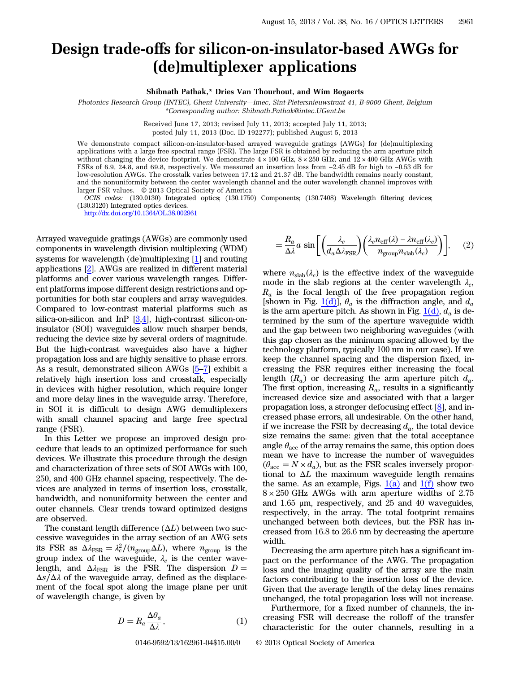## Design trade-offs for silicon-on-insulator-based AWGs for (de)multiplexer applications

Shibnath Pathak,\* Dries Van Thourhout, and Wim Bogaerts

Photonics Research Group (INTEC), Ghent University*—*imec, Sint-Pietersnieuwstraat 41, B-9000 Ghent, Belgium \*Corresponding author: Shibnath.Pathak@intec.UGent.be

Received June 17, 2013; revised July 11, 2013; accepted July 11, 2013;

posted July 11, 2013 (Doc. ID 192277); published August 5, 2013

We demonstrate compact silicon-on-insulator-based arrayed waveguide gratings (AWGs) for (de)multiplexing applications with a large free spectral range (FSR). The large FSR is obtained by reducing the arm aperture pitch without changing the device footprint. We demonstrate  $4 \times 100$  GHz,  $8 \times 250$  GHz, and  $12 \times 400$  GHz AWGs with FSRs of 6.9, 24.8, and 69.8, respectively. We measured an insertion loss from −2.45 dB for high to −0.53 dB for low-resolution AWGs. The crosstalk varies between 17.12 and 21.37 dB. The bandwidth remains nearly constant, and the nonuniformity between the center wavelength channel and the outer wavelength channel improves with larger FSR values. © 2013 Optical Society of America

OCIS codes: (130.0130) Integrated optics; (130.1750) Components; (130.7408) Wavelength filtering devices; (130.3120) Integrated optics devices.

<http://dx.doi.org/10.1364/OL.38.002961>

Arrayed waveguide gratings (AWGs) are commonly used components in wavelength division multiplexing (WDM) systems for wavelength (de)multiplexing [[1\]](#page-3-0) and routing applications [\[2](#page-3-1)]. AWGs are realized in different material platforms and cover various wavelength ranges. Different platforms impose different design restrictions and opportunities for both star couplers and array waveguides. Compared to low-contrast material platforms such as silica-on-silicon and InP [[3](#page-3-2)[,4](#page-3-3)], high-contrast silicon-oninsulator (SOI) waveguides allow much sharper bends, reducing the device size by several orders of magnitude. But the high-contrast waveguides also have a higher propagation loss and are highly sensitive to phase errors. reducing the device size by several orders of magnitude.<br>But the high-contrast waveguides also have a higher<br>propagation loss and are highly sensitive to phase errors.<br>As a result, demonstrated silicon AWGs [<u>[5](#page-3-4)–[7\]](#page-3-5)</u> exhibit relatively high insertion loss and crosstalk, especially in devices with higher resolution, which require longer and more delay lines in the waveguide array. Therefore, in SOI it is difficult to design AWG demultiplexers with small channel spacing and large free spectral range (FSR).

In this Letter we propose an improved design procedure that leads to an optimized performance for such devices. We illustrate this procedure through the design and characterization of three sets of SOI AWGs with 100, 250, and 400 GHz channel spacing, respectively. The devices are analyzed in terms of insertion loss, crosstalk, bandwidth, and nonuniformity between the center and outer channels. Clear trends toward optimized designs are observed.

The constant length difference  $(\Delta L)$  between two successive waveguides in the array section of an AWG sets its FSR as  $\Delta \lambda_{\text{FSR}} = \lambda_c^2/(n_{\text{group}} \Delta L)$ , where  $n_{\text{group}}$  is the group index of the waveguide,  $\lambda_c$  is the center wavelength, and  $\Delta \lambda_{\text{FSR}}$  is the FSR. The dispersion  $D =$  $\Delta s/\Delta\lambda$  of the waveguide array, defined as the displacement of the focal spot along the image plane per unit of wavelength change, is given by

$$
D = R_a \frac{\Delta \theta_a}{\Delta \lambda},\tag{1}
$$

$$
= \frac{R_a}{\Delta \lambda} a \sin \left[ \left( \frac{\lambda_c}{d_a \Delta \lambda_{\rm FSR}} \right) \left( \frac{\lambda_c n_{\rm eff}(\lambda) - \lambda n_{\rm eff}(\lambda_c)}{n_{\rm group} n_{\rm slab}(\lambda_c)} \right) \right],
$$
 (2)

where  $n_{\text{slab}}(\lambda_c)$  is the effective index of the waveguide mode in the slab regions at the center wavelength  $\lambda_c$ ,  $R_a$  is the focal length of the free propagation region [shown in Fig. [1\(d\)](#page-1-0)],  $\theta_a$  is the diffraction angle, and  $d_a$ is the arm aperture pitch. As shown in Fig.  $1(d)$ ,  $d_a$  is determined by the sum of the aperture waveguide width and the gap between two neighboring waveguides (with this gap chosen as the minimum spacing allowed by the technology platform, typically 100 nm in our case). If we keep the channel spacing and the dispersion fixed, increasing the FSR requires either increasing the focal length  $(R_a)$  or decreasing the arm aperture pitch  $d_a$ . The first option, increasing  $R_a$ , results in a significantly increased device size and associated with that a larger propagation loss, a stronger defocusing effect [\[8](#page-3-6)], and increased phase errors, all undesirable. On the other hand, if we increase the FSR by decreasing  $d_a$ , the total device size remains the same: given that the total acceptance angle  $\theta_{\text{acc}}$  of the array remains the same, this option does mean we have to increase the number of waveguides  $(\theta_{\text{acc}} = N \times d_a)$ , but as the FSR scales inversely proportional to  $\Delta L$  the maximum waveguide length remains the same. As an example, Figs.  $1(a)$  and  $1(f)$  show two  $8 \times 250$  GHz AWGs with arm aperture widths of 2.75 and 1.65 μm, respectively, and 25 and 40 waveguides, respectively, in the array. The total footprint remains unchanged between both devices, but the FSR has increased from 16.8 to 26.6 nm by decreasing the aperture width.

Decreasing the arm aperture pitch has a significant impact on the performance of the AWG. The propagation loss and the imaging quality of the array are the main factors contributing to the insertion loss of the device. Given that the average length of the delay lines remains unchanged, the total propagation loss will not increase.

Furthermore, for a fixed number of channels, the increasing FSR will decrease the rolloff of the transfer characteristic for the outer channels, resulting in a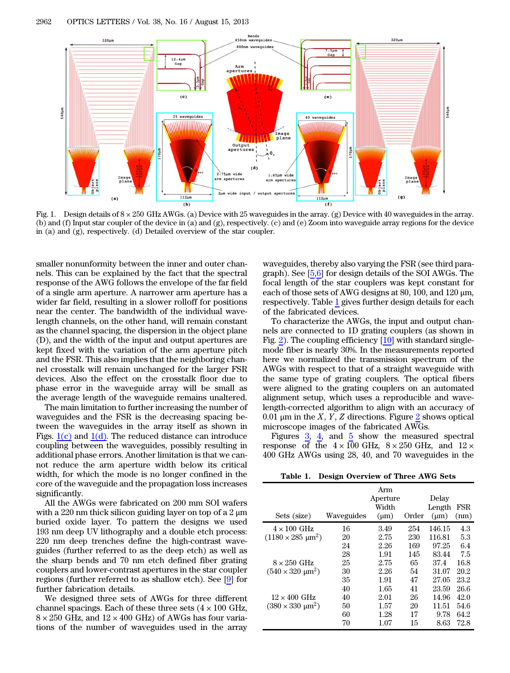<span id="page-1-0"></span>

Fig. 1. Design details of  $8 \times 250$  GHz AWGs. (a) Device with 25 waveguides in the array. (g) Device with 40 waveguides in the array. (b) and (f) Input star coupler of the device in (a) and (g), respectively. (c) and (e) Zoom into waveguide array regions for the device in (a) and (g), respectively. (d) Detailed overview of the star coupler.

smaller nonunformity between the inner and outer channels. This can be explained by the fact that the spectral response of the AWG follows the envelope of the far field of a single arm aperture. A narrower arm aperture has a wider far field, resulting in a slower rolloff for positions near the center. The bandwidth of the individual wavelength channels, on the other hand, will remain constant as the channel spacing, the dispersion in the object plane (D), and the width of the input and output apertures are kept fixed with the variation of the arm aperture pitch and the FSR. This also implies that the neighboring channel crosstalk will remain unchanged for the larger FSR devices. Also the effect on the crosstalk floor due to phase error in the waveguide array will be small as the average length of the waveguide remains unaltered.

The main limitation to further increasing the number of waveguides and the FSR is the decreasing spacing between the waveguides in the array itself as shown in Figs.  $1(c)$  and  $1(d)$ . The reduced distance can introduce coupling between the waveguides, possibly resulting in additional phase errors. Another limitation is that we cannot reduce the arm aperture width below its critical width, for which the mode is no longer confined in the core of the waveguide and the propagation loss increases significantly.

All the AWGs were fabricated on 200 mm SOI wafers with a 220 nm thick silicon guiding layer on top of a 2  $\mu$ m buried oxide layer. To pattern the designs we used 193 nm deep UV lithography and a double etch process: 220 nm deep trenches define the high-contrast waveguides (further referred to as the deep etch) as well as the sharp bends and 70 nm etch defined fiber grating couplers and lower-contrast apertures in the star coupler regions (further referred to as shallow etch). See [\[9](#page-3-7)] for further fabrication details.

We designed three sets of AWGs for three different channel spacings. Each of these three sets  $(4 \times 100 \text{ GHz},$  $8 \times 250$  GHz, and  $12 \times 400$  GHz) of AWGs has four variations of the number of waveguides used in the array

waveguides, thereby also varying the FSR (see third paragraph). See [\[5](#page-3-4),[6\]](#page-3-8) for design details of the SOI AWGs. The focal length of the star couplers was kept constant for each of those sets of AWG designs at 80, 100, and 120 μm, respectively. Table [1](#page-1-1) gives further design details for each of the fabricated devices.

To characterize the AWGs, the input and output channels are connected to 1D grating couplers (as shown in Fig. [2\)](#page-2-0). The coupling efficiency [[10\]](#page-3-9) with standard singlemode fiber is nearly 30%. In the measurements reported here we normalized the transmission spectrum of the AWGs with respect to that of a straight waveguide with the same type of grating couplers. The optical fibers were aligned to the grating couplers on an automated alignment setup, which uses a reproducible and wavelength-corrected algorithm to align with an accuracy of 0.01  $\mu$ m in the X, Y, Z directions. Figure [2](#page-2-0) shows optical microscope images of the fabricated AWGs.

Figures [3](#page-2-1), [4](#page-2-2), and [5](#page-2-3) show the measured spectral response of the  $4 \times 100$  GHz,  $8 \times 250$  GHz, and  $12 \times$ 400 GHz AWGs using 28, 40, and 70 waveguides in the

Table 1. Design Overview of Three AWG Sets

<span id="page-1-1"></span>

| Sets (size)                               | Waveguides | Arm<br>Aperture<br>Width<br>$(\mu m)$ | Order | Delay<br>Length<br>$(\mu m)$ | FSR<br>(nm) |
|-------------------------------------------|------------|---------------------------------------|-------|------------------------------|-------------|
| $4 \times 100$ GHz                        | 16         | 3.49                                  | 254   | 146.15                       | 4.3         |
| $(1180 \times 285 \text{ }\mu\text{m}^2)$ | 20         | 2.75                                  | 230   | 116.81                       | 5.3         |
|                                           | 24         | 2.26                                  | 169   | 97.25                        | 6.4         |
|                                           | 28         | 1.91                                  | 145   | 83.44                        | 7.5         |
| $8 \times 250$ GHz                        | 25         | 2.75                                  | 65    | 37.4                         | 16.8        |
| $(540 \times 320 \text{ µm}^2)$           | 30         | 2.26                                  | 54    | 31.07                        | 20.2        |
|                                           | 35         | 1.91                                  | 47    | 27.05                        | 23.2        |
|                                           | 40         | 1.65                                  | 41    | 23.59                        | 26.6        |
| $12 \times 400$ GHz                       | 40         | 2.01                                  | 26    | 14.96                        | 42.0        |
| $(380 \times 330 \text{ }\mu\text{m}^2)$  | 50         | 1.57                                  | 20    | 11.51                        | 54.6        |
|                                           | 60         | 1.28                                  | 17    | 9.78                         | 64.2        |
|                                           | 70         | 1.07                                  | 15    | 8.63                         | 72.8        |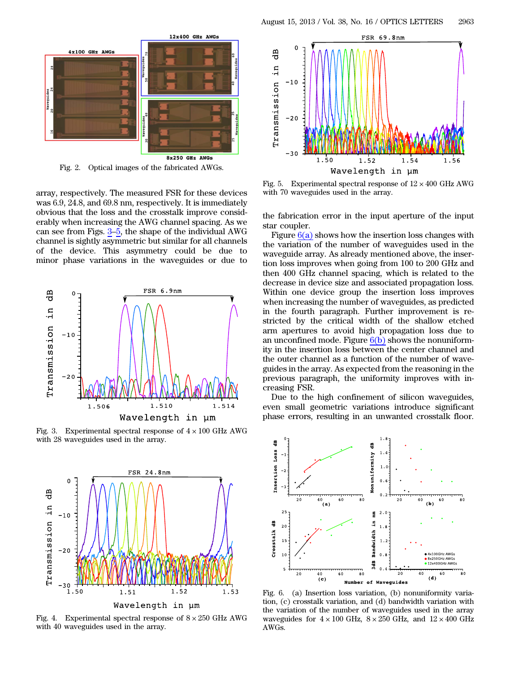<span id="page-2-0"></span>

Fig. 2. Optical images of the fabricated AWGs.

array, respectively. The measured FSR for these devices was 6.9, 24.8, and 69.8 nm, respectively. It is immediately obvious that the loss and the crosstalk improve considerably when increasing the AWG channel spacing. As we can see from Figs. [3](#page-2-1)–[5](#page-2-3), the shape of the individual AWG channel is sightly asymmetric but similar for all channels of the device. This asymmetry could be due to minor phase variations in the waveguides or due to

<span id="page-2-1"></span>

Fig. 3. Experimental spectral response of  $4 \times 100$  GHz AWG with 28 waveguides used in the array.

<span id="page-2-2"></span>

Fig. 4. Experimental spectral response of  $8 \times 250$  GHz AWG with 40 waveguides used in the array.

<span id="page-2-3"></span>

Fig. 5. Experimental spectral response of  $12 \times 400$  GHz AWG with 70 waveguides used in the array.

the fabrication error in the input aperture of the input star coupler.

Figure  $6(a)$  shows how the insertion loss changes with the variation of the number of waveguides used in the waveguide array. As already mentioned above, the insertion loss improves when going from 100 to 200 GHz and then 400 GHz channel spacing, which is related to the decrease in device size and associated propagation loss. Within one device group the insertion loss improves when increasing the number of waveguides, as predicted in the fourth paragraph. Further improvement is restricted by the critical width of the shallow etched arm apertures to avoid high propagation loss due to an unconfined mode. Figure  $6(b)$  shows the nonuniformity in the insertion loss between the center channel and the outer channel as a function of the number of waveguides in the array. As expected from the reasoning in the previous paragraph, the uniformity improves with increasing FSR.

Due to the high confinement of silicon waveguides, even small geometric variations introduce significant phase errors, resulting in an unwanted crosstalk floor.

<span id="page-2-4"></span>

Fig. 6. (a) Insertion loss variation, (b) nonuniformity variation, (c) crosstalk variation, and (d) bandwidth variation with the variation of the number of waveguides used in the array waveguides for  $4 \times 100$  GHz,  $8 \times 250$  GHz, and  $12 \times 400$  GHz AWGs.